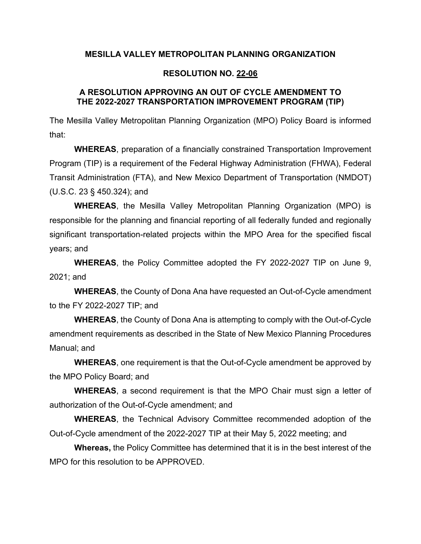### **MESILLA VALLEY METROPOLITAN PLANNING ORGANIZATION**

### **RESOLUTION NO. 22-06**

### **A RESOLUTION APPROVING AN OUT OF CYCLE AMENDMENT TO THE 2022-2027 TRANSPORTATION IMPROVEMENT PROGRAM (TIP)**

The Mesilla Valley Metropolitan Planning Organization (MPO) Policy Board is informed that:

**WHEREAS**, preparation of a financially constrained Transportation Improvement Program (TIP) is a requirement of the Federal Highway Administration (FHWA), Federal Transit Administration (FTA), and New Mexico Department of Transportation (NMDOT) (U.S.C. 23 § 450.324); and

**WHEREAS**, the Mesilla Valley Metropolitan Planning Organization (MPO) is responsible for the planning and financial reporting of all federally funded and regionally significant transportation-related projects within the MPO Area for the specified fiscal years; and

**WHEREAS**, the Policy Committee adopted the FY 2022-2027 TIP on June 9, 2021; and

**WHEREAS**, the County of Dona Ana have requested an Out-of-Cycle amendment to the FY 2022-2027 TIP; and

**WHEREAS**, the County of Dona Ana is attempting to comply with the Out-of-Cycle amendment requirements as described in the State of New Mexico Planning Procedures Manual; and

**WHEREAS**, one requirement is that the Out-of-Cycle amendment be approved by the MPO Policy Board; and

**WHEREAS**, a second requirement is that the MPO Chair must sign a letter of authorization of the Out-of-Cycle amendment; and

**WHEREAS**, the Technical Advisory Committee recommended adoption of the Out-of-Cycle amendment of the 2022-2027 TIP at their May 5, 2022 meeting; and

**Whereas,** the Policy Committee has determined that it is in the best interest of the MPO for this resolution to be APPROVED.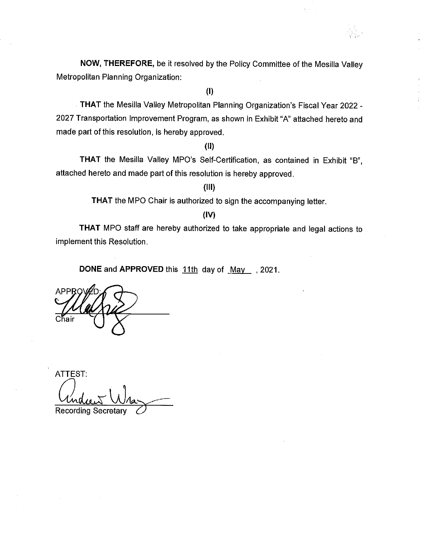NOW, THEREFORE, be it resolved by the Policy Committee of the Mesilla Valley Metropolitan Planning Organization:

 $(1)$ 

THAT the Mesilla Valley Metropolitan Planning Organization's Fiscal Year 2022 -2027 Transportation Improvement Program, as shown in Exhibit "A" attached hereto and made part of this resolution, is hereby approved.

 $(II)$ 

THAT the Mesilla Valley MPO's Self-Certification, as contained in Exhibit "B", attached hereto and made part of this resolution is hereby approved.

 $(III)$ 

THAT the MPO Chair is authorized to sign the accompanying letter.

 $(IV)$ 

THAT MPO staff are hereby authorized to take appropriate and legal actions to implement this Resolution.

DONE and APPROVED this 11th day of May 12021.

ATTEST: Recording Secretary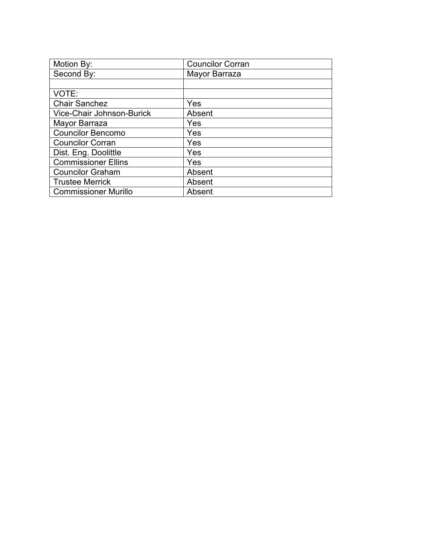| Motion By:                  | <b>Councilor Corran</b> |
|-----------------------------|-------------------------|
| Second By:                  | Mayor Barraza           |
|                             |                         |
| VOTE:                       |                         |
| <b>Chair Sanchez</b>        | Yes                     |
| Vice-Chair Johnson-Burick   | Absent                  |
| Mayor Barraza               | Yes                     |
| <b>Councilor Bencomo</b>    | Yes                     |
| <b>Councilor Corran</b>     | Yes                     |
| Dist. Eng. Doolittle        | Yes                     |
| <b>Commissioner Ellins</b>  | Yes                     |
| <b>Councilor Graham</b>     | Absent                  |
| <b>Trustee Merrick</b>      | Absent                  |
| <b>Commissioner Murillo</b> | Absent                  |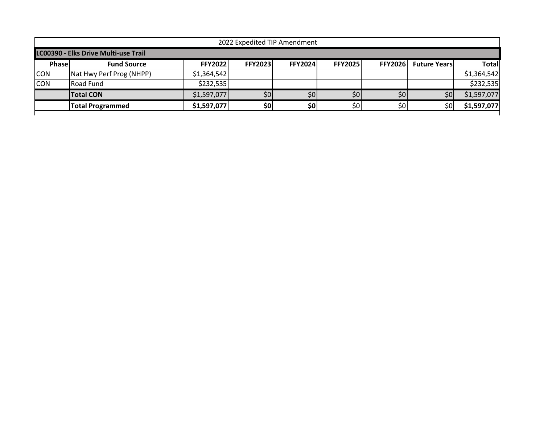| 2022 Expedited TIP Amendment         |                          |                |                |                |                  |                |                     |              |  |
|--------------------------------------|--------------------------|----------------|----------------|----------------|------------------|----------------|---------------------|--------------|--|
| LC00390 - Elks Drive Multi-use Trail |                          |                |                |                |                  |                |                     |              |  |
| <b>Phase</b>                         | <b>Fund Source</b>       | <b>FFY2022</b> | <b>FFY2023</b> | <b>FFY2024</b> | <b>FFY2025</b>   | <b>FFY2026</b> | <b>Future Years</b> | <b>Total</b> |  |
| <b>CON</b>                           | Nat Hwy Perf Prog (NHPP) | \$1,364,542    |                |                |                  |                |                     | \$1,364,542  |  |
| <b>CON</b>                           | <b>Road Fund</b>         | \$232,535      |                |                |                  |                |                     | \$232,535    |  |
|                                      | <b>Total CON</b>         | \$1,597,077    | \$0            | \$0            | \$0]             | \$0            | \$0                 | \$1,597,077  |  |
|                                      | <b>Total Programmed</b>  | \$1,597,077    | \$0            | \$0            | \$0 <sub>1</sub> | \$0            | \$0                 | \$1,597,077  |  |
|                                      |                          |                |                |                |                  |                |                     |              |  |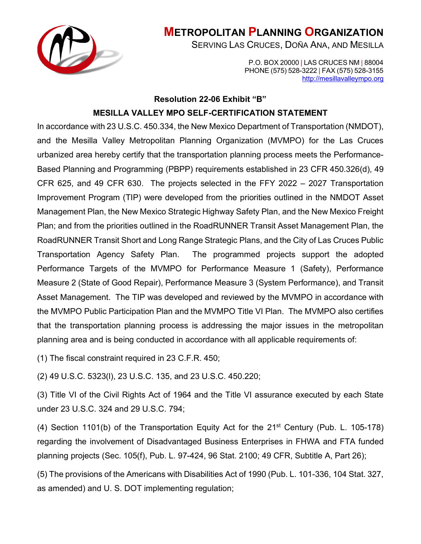

# **METROPOLITAN PLANNING ORGANIZATION**

SERVING LAS CRUCES, DOÑA ANA, AND MESILLA

P.O. BOX 20000 | LAS CRUCES NM | 88004 PHONE (575) 528-3222 | FAX (575) 528-3155 [http://mesillavalleympo.org](http://mesillavalleympo.org/)

### **Resolution 22-06 Exhibit "B"**

## **MESILLA VALLEY MPO SELF-CERTIFICATION STATEMENT**

In accordance with 23 U.S.C. 450.334, the New Mexico Department of Transportation (NMDOT), and the Mesilla Valley Metropolitan Planning Organization (MVMPO) for the Las Cruces urbanized area hereby certify that the transportation planning process meets the Performance-Based Planning and Programming (PBPP) requirements established in 23 CFR 450.326(d), 49 CFR 625, and 49 CFR 630. The projects selected in the FFY 2022 – 2027 Transportation Improvement Program (TIP) were developed from the priorities outlined in the NMDOT Asset Management Plan, the New Mexico Strategic Highway Safety Plan, and the New Mexico Freight Plan; and from the priorities outlined in the RoadRUNNER Transit Asset Management Plan, the RoadRUNNER Transit Short and Long Range Strategic Plans, and the City of Las Cruces Public Transportation Agency Safety Plan. The programmed projects support the adopted Performance Targets of the MVMPO for Performance Measure 1 (Safety), Performance Measure 2 (State of Good Repair), Performance Measure 3 (System Performance), and Transit Asset Management. The TIP was developed and reviewed by the MVMPO in accordance with the MVMPO Public Participation Plan and the MVMPO Title VI Plan. The MVMPO also certifies that the transportation planning process is addressing the major issues in the metropolitan planning area and is being conducted in accordance with all applicable requirements of:

(1) The fiscal constraint required in 23 C.F.R. 450;

(2) 49 U.S.C. 5323(l), 23 U.S.C. 135, and 23 U.S.C. 450.220;

(3) Title VI of the Civil Rights Act of 1964 and the Title VI assurance executed by each State under 23 U.S.C. 324 and 29 U.S.C. 794;

(4) Section 1101(b) of the Transportation Equity Act for the 21st Century (Pub. L. 105-178) regarding the involvement of Disadvantaged Business Enterprises in FHWA and FTA funded planning projects (Sec. 105(f), Pub. L. 97-424, 96 Stat. 2100; 49 CFR, Subtitle A, Part 26);

(5) The provisions of the Americans with Disabilities Act of 1990 (Pub. L. 101-336, 104 Stat. 327, as amended) and U. S. DOT implementing regulation;